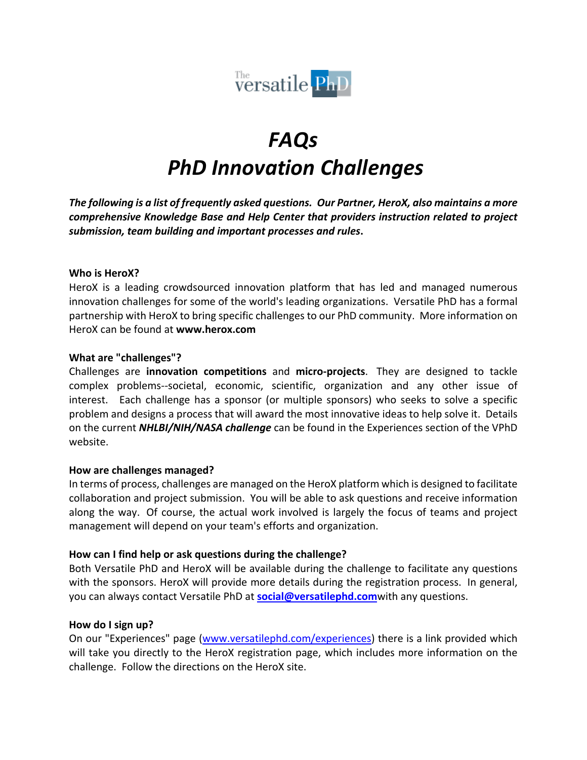

# *FAQs PhD Innovation Challenges*

*The following is a list of frequently asked questions. Our Partner, HeroX, also maintains a more comprehensive Knowledge Base and Help Center that providers instruction related to project submission, team building and important processes and rules***.**

#### **Who is HeroX?**

HeroX is a leading crowdsourced innovation platform that has led and managed numerous innovation challenges for some of the world's leading organizations. Versatile PhD has a formal partnership with HeroX to bring specific challenges to our PhD community. More information on HeroX can be found at **www.herox.com**

#### **What are "challenges"?**

Challenges are **innovation competitions** and **micro-projects**. They are designed to tackle complex problems--societal, economic, scientific, organization and any other issue of interest. Each challenge has a sponsor (or multiple sponsors) who seeks to solve a specific problem and designs a process that will award the most innovative ideas to help solve it. Details on the current *NHLBI/NIH/NASA challenge* can be found in the Experiences section of the VPhD website.

#### **How are challenges managed?**

In terms of process, challenges are managed on the HeroX platform which is designed to facilitate collaboration and project submission. You will be able to ask questions and receive information along the way. Of course, the actual work involved is largely the focus of teams and project management will depend on your team's efforts and organization.

#### **How can I find help or ask questions during the challenge?**

Both Versatile PhD and HeroX will be available during the challenge to facilitate any questions with the sponsors. HeroX will provide more details during the registration process. In general, you can always contact Versatile PhD at **social@versatilephd.com**with any questions.

#### **How do I sign up?**

On our "Experiences" page (www.versatilephd.com/experiences) there is a link provided which will take you directly to the HeroX registration page, which includes more information on the challenge. Follow the directions on the HeroX site.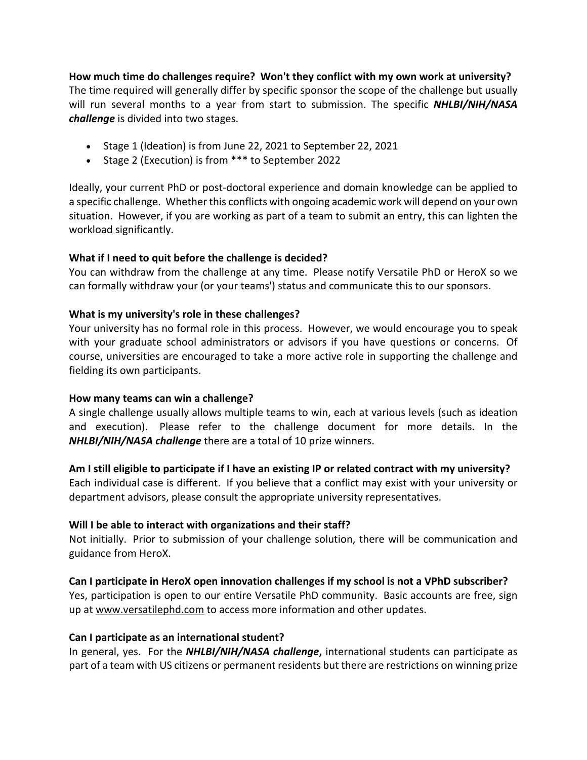**How much time do challenges require? Won't they conflict with my own work at university?** The time required will generally differ by specific sponsor the scope of the challenge but usually will run several months to a year from start to submission. The specific *NHLBI/NIH/NASA challenge* is divided into two stages.

- Stage 1 (Ideation) is from June 22, 2021 to September 22, 2021
- Stage 2 (Execution) is from \*\*\* to September 2022

Ideally, your current PhD or post-doctoral experience and domain knowledge can be applied to a specific challenge. Whether this conflicts with ongoing academic work will depend on your own situation. However, if you are working as part of a team to submit an entry, this can lighten the workload significantly.

#### **What if I need to quit before the challenge is decided?**

You can withdraw from the challenge at any time. Please notify Versatile PhD or HeroX so we can formally withdraw your (or your teams') status and communicate this to our sponsors.

#### **What is my university's role in these challenges?**

Your university has no formal role in this process. However, we would encourage you to speak with your graduate school administrators or advisors if you have questions or concerns. Of course, universities are encouraged to take a more active role in supporting the challenge and fielding its own participants.

#### **How many teams can win a challenge?**

A single challenge usually allows multiple teams to win, each at various levels (such as ideation and execution). Please refer to the challenge document for more details. In the *NHLBI/NIH/NASA challenge* there are a total of 10 prize winners.

#### **Am I still eligible to participate if I have an existing IP or related contract with my university?**

Each individual case is different. If you believe that a conflict may exist with your university or department advisors, please consult the appropriate university representatives.

#### **Will I be able to interact with organizations and their staff?**

Not initially. Prior to submission of your challenge solution, there will be communication and guidance from HeroX.

#### **Can I participate in HeroX open innovation challenges if my school is not a VPhD subscriber?**

Yes, participation is open to our entire Versatile PhD community. Basic accounts are free, sign up at www.versatilephd.com to access more information and other updates.

#### **Can I participate as an international student?**

In general, yes. For the *NHLBI/NIH/NASA challenge***,** international students can participate as part of a team with US citizens or permanent residents but there are restrictions on winning prize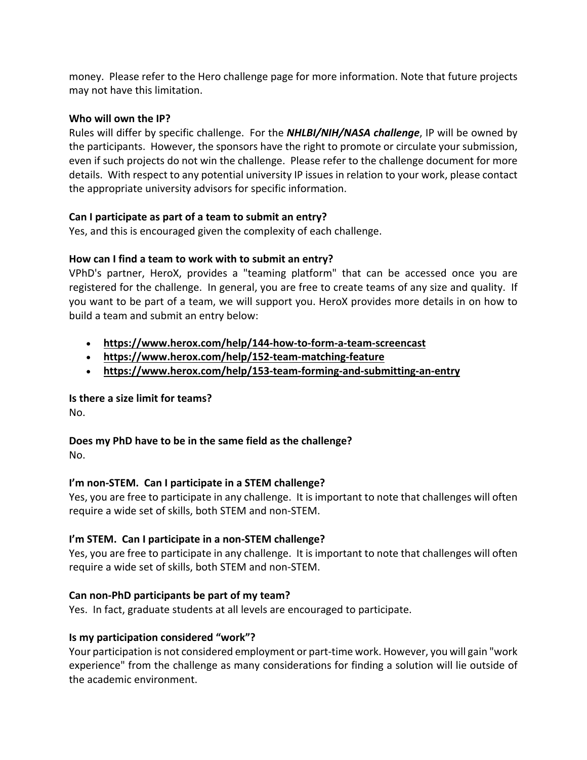money. Please refer to the Hero challenge page for more information. Note that future projects may not have this limitation.

## **Who will own the IP?**

Rules will differ by specific challenge. For the *NHLBI/NIH/NASA challenge*, IP will be owned by the participants. However, the sponsors have the right to promote or circulate your submission, even if such projects do not win the challenge. Please refer to the challenge document for more details. With respect to any potential university IP issues in relation to your work, please contact the appropriate university advisors for specific information.

### **Can I participate as part of a team to submit an entry?**

Yes, and this is encouraged given the complexity of each challenge.

# **How can I find a team to work with to submit an entry?**

VPhD's partner, HeroX, provides a "teaming platform" that can be accessed once you are registered for the challenge. In general, you are free to create teams of any size and quality. If you want to be part of a team, we will support you. HeroX provides more details in on how to build a team and submit an entry below:

- **https://www.herox.com/help/144-how-to-form-a-team-screencast**
- **https://www.herox.com/help/152-team-matching-feature**
- **https://www.herox.com/help/153-team-forming-and-submitting-an-entry**

# **Is there a size limit for teams?**

No.

# **Does my PhD have to be in the same field as the challenge?**

No.

# **I'm non-STEM. Can I participate in a STEM challenge?**

Yes, you are free to participate in any challenge. It is important to note that challenges will often require a wide set of skills, both STEM and non-STEM.

# **I'm STEM. Can I participate in a non-STEM challenge?**

Yes, you are free to participate in any challenge. It is important to note that challenges will often require a wide set of skills, both STEM and non-STEM.

# **Can non-PhD participants be part of my team?**

Yes. In fact, graduate students at all levels are encouraged to participate.

# **Is my participation considered "work"?**

Your participation is not considered employment or part-time work. However, you will gain "work experience" from the challenge as many considerations for finding a solution will lie outside of the academic environment.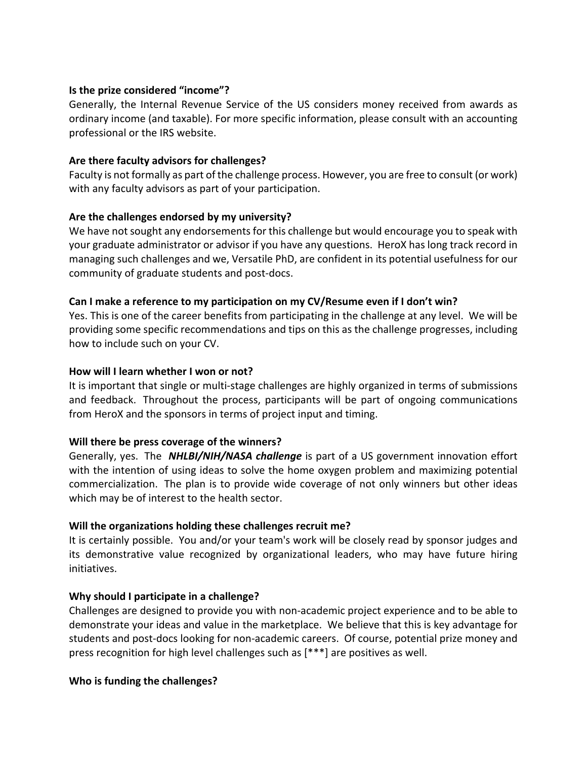#### **Is the prize considered "income"?**

Generally, the Internal Revenue Service of the US considers money received from awards as ordinary income (and taxable). For more specific information, please consult with an accounting professional or the IRS website.

## **Are there faculty advisors for challenges?**

Faculty is not formally as part of the challenge process. However, you are free to consult (or work) with any faculty advisors as part of your participation.

### **Are the challenges endorsed by my university?**

We have not sought any endorsements for this challenge but would encourage you to speak with your graduate administrator or advisor if you have any questions. HeroX has long track record in managing such challenges and we, Versatile PhD, are confident in its potential usefulness for our community of graduate students and post-docs.

### **Can I make a reference to my participation on my CV/Resume even if I don't win?**

Yes. This is one of the career benefits from participating in the challenge at any level. We will be providing some specific recommendations and tips on this as the challenge progresses, including how to include such on your CV.

### **How will I learn whether I won or not?**

It is important that single or multi-stage challenges are highly organized in terms of submissions and feedback. Throughout the process, participants will be part of ongoing communications from HeroX and the sponsors in terms of project input and timing.

# **Will there be press coverage of the winners?**

Generally, yes. The *NHLBI/NIH/NASA challenge* is part of a US government innovation effort with the intention of using ideas to solve the home oxygen problem and maximizing potential commercialization. The plan is to provide wide coverage of not only winners but other ideas which may be of interest to the health sector.

# **Will the organizations holding these challenges recruit me?**

It is certainly possible. You and/or your team's work will be closely read by sponsor judges and its demonstrative value recognized by organizational leaders, who may have future hiring initiatives.

# **Why should I participate in a challenge?**

Challenges are designed to provide you with non-academic project experience and to be able to demonstrate your ideas and value in the marketplace. We believe that this is key advantage for students and post-docs looking for non-academic careers. Of course, potential prize money and press recognition for high level challenges such as [\*\*\*] are positives as well.

#### **Who is funding the challenges?**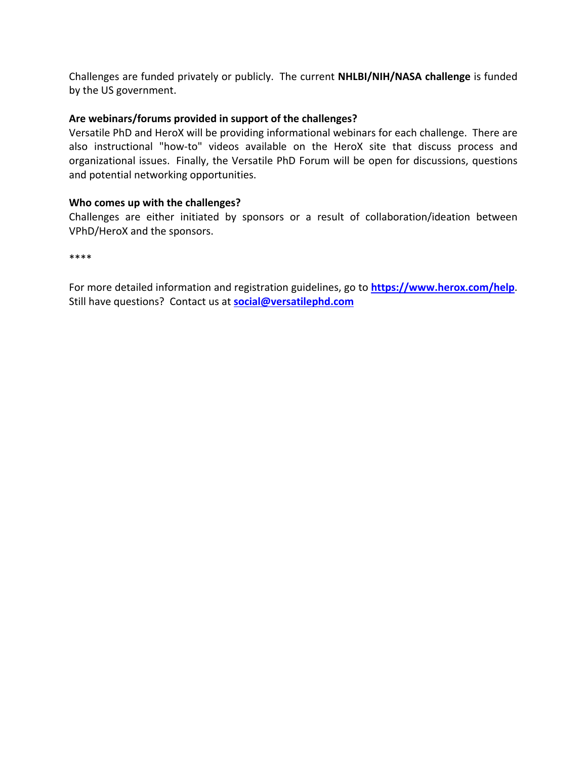Challenges are funded privately or publicly. The current **NHLBI/NIH/NASA challenge** is funded by the US government.

## **Are webinars/forums provided in support of the challenges?**

Versatile PhD and HeroX will be providing informational webinars for each challenge. There are also instructional "how-to" videos available on the HeroX site that discuss process and organizational issues. Finally, the Versatile PhD Forum will be open for discussions, questions and potential networking opportunities.

### **Who comes up with the challenges?**

Challenges are either initiated by sponsors or a result of collaboration/ideation between VPhD/HeroX and the sponsors.

\*\*\*\*

For more detailed information and registration guidelines, go to **https://www.herox.com/help**. Still have questions? Contact us at **social@versatilephd.com**